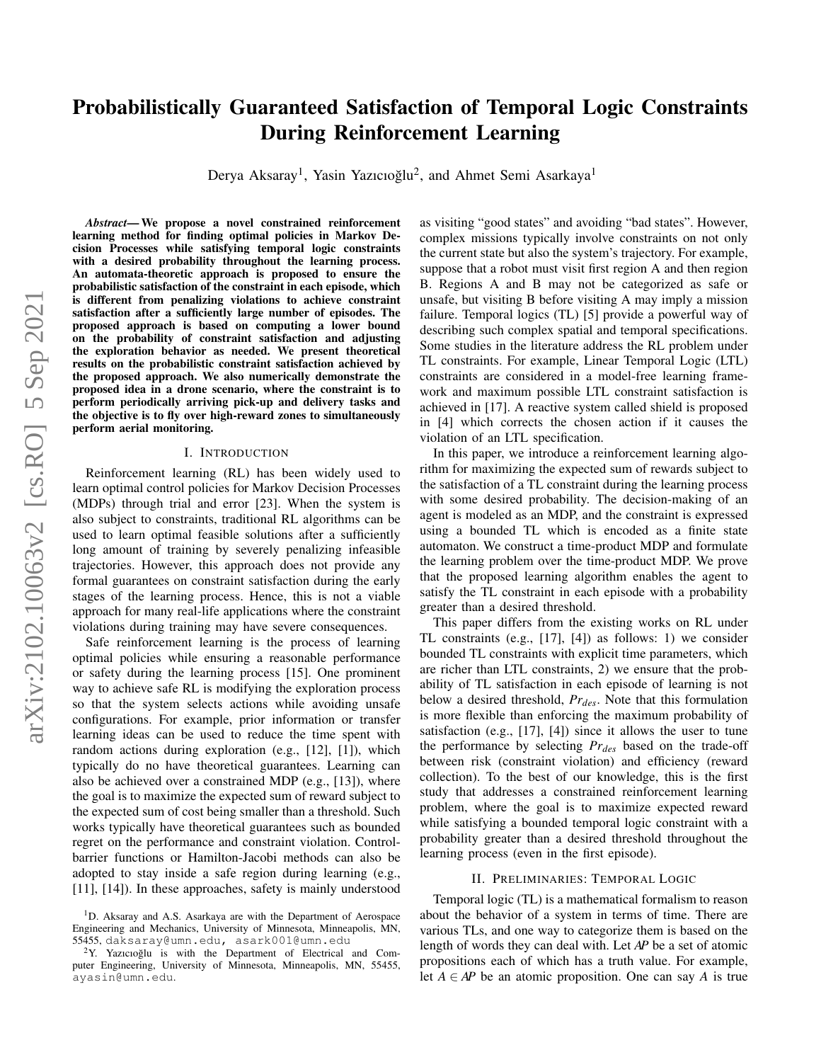# Probabilistically Guaranteed Satisfaction of Temporal Logic Constraints During Reinforcement Learning

Derya Aksaray<sup>1</sup>, Yasin Yazıcıoğlu<sup>2</sup>, and Ahmet Semi Asarkaya<sup>1</sup>

*Abstract*— We propose a novel constrained reinforcement learning method for finding optimal policies in Markov Decision Processes while satisfying temporal logic constraints with a desired probability throughout the learning process. An automata-theoretic approach is proposed to ensure the probabilistic satisfaction of the constraint in each episode, which is different from penalizing violations to achieve constraint satisfaction after a sufficiently large number of episodes. The proposed approach is based on computing a lower bound on the probability of constraint satisfaction and adjusting the exploration behavior as needed. We present theoretical results on the probabilistic constraint satisfaction achieved by the proposed approach. We also numerically demonstrate the proposed idea in a drone scenario, where the constraint is to perform periodically arriving pick-up and delivery tasks and the objective is to fly over high-reward zones to simultaneously perform aerial monitoring.

## I. INTRODUCTION

Reinforcement learning (RL) has been widely used to learn optimal control policies for Markov Decision Processes (MDPs) through trial and error [23]. When the system is also subject to constraints, traditional RL algorithms can be used to learn optimal feasible solutions after a sufficiently long amount of training by severely penalizing infeasible trajectories. However, this approach does not provide any formal guarantees on constraint satisfaction during the early stages of the learning process. Hence, this is not a viable approach for many real-life applications where the constraint violations during training may have severe consequences.

Safe reinforcement learning is the process of learning optimal policies while ensuring a reasonable performance or safety during the learning process [15]. One prominent way to achieve safe RL is modifying the exploration process so that the system selects actions while avoiding unsafe configurations. For example, prior information or transfer learning ideas can be used to reduce the time spent with random actions during exploration (e.g., [12], [1]), which typically do no have theoretical guarantees. Learning can also be achieved over a constrained MDP (e.g., [13]), where the goal is to maximize the expected sum of reward subject to the expected sum of cost being smaller than a threshold. Such works typically have theoretical guarantees such as bounded regret on the performance and constraint violation. Controlbarrier functions or Hamilton-Jacobi methods can also be adopted to stay inside a safe region during learning (e.g., [11], [14]). In these approaches, safety is mainly understood

as visiting "good states" and avoiding "bad states". However, complex missions typically involve constraints on not only the current state but also the system's trajectory. For example, suppose that a robot must visit first region A and then region B. Regions A and B may not be categorized as safe or unsafe, but visiting B before visiting A may imply a mission failure. Temporal logics (TL) [5] provide a powerful way of describing such complex spatial and temporal specifications. Some studies in the literature address the RL problem under TL constraints. For example, Linear Temporal Logic (LTL) constraints are considered in a model-free learning framework and maximum possible LTL constraint satisfaction is achieved in [17]. A reactive system called shield is proposed in [4] which corrects the chosen action if it causes the violation of an LTL specification.

In this paper, we introduce a reinforcement learning algorithm for maximizing the expected sum of rewards subject to the satisfaction of a TL constraint during the learning process with some desired probability. The decision-making of an agent is modeled as an MDP, and the constraint is expressed using a bounded TL which is encoded as a finite state automaton. We construct a time-product MDP and formulate the learning problem over the time-product MDP. We prove that the proposed learning algorithm enables the agent to satisfy the TL constraint in each episode with a probability greater than a desired threshold.

This paper differs from the existing works on RL under TL constraints (e.g., [17], [4]) as follows: 1) we consider bounded TL constraints with explicit time parameters, which are richer than LTL constraints, 2) we ensure that the probability of TL satisfaction in each episode of learning is not below a desired threshold, *Prdes*. Note that this formulation is more flexible than enforcing the maximum probability of satisfaction (e.g., [17], [4]) since it allows the user to tune the performance by selecting *Prdes* based on the trade-off between risk (constraint violation) and efficiency (reward collection). To the best of our knowledge, this is the first study that addresses a constrained reinforcement learning problem, where the goal is to maximize expected reward while satisfying a bounded temporal logic constraint with a probability greater than a desired threshold throughout the learning process (even in the first episode).

## II. PRELIMINARIES: TEMPORAL LOGIC

Temporal logic (TL) is a mathematical formalism to reason about the behavior of a system in terms of time. There are various TLs, and one way to categorize them is based on the length of words they can deal with. Let *AP* be a set of atomic propositions each of which has a truth value. For example, let  $A \in AP$  be an atomic proposition. One can say A is true

<sup>&</sup>lt;sup>1</sup>D. Aksaray and A.S. Asarkaya are with the Department of Aerospace Engineering and Mechanics, University of Minnesota, Minneapolis, MN, 55455, daksaray@umn.edu, asark001@umn.edu

 $2Y$ . Yazıcıoğlu is with the Department of Electrical and Computer Engineering, University of Minnesota, Minneapolis, MN, 55455, ayasin@umn.edu.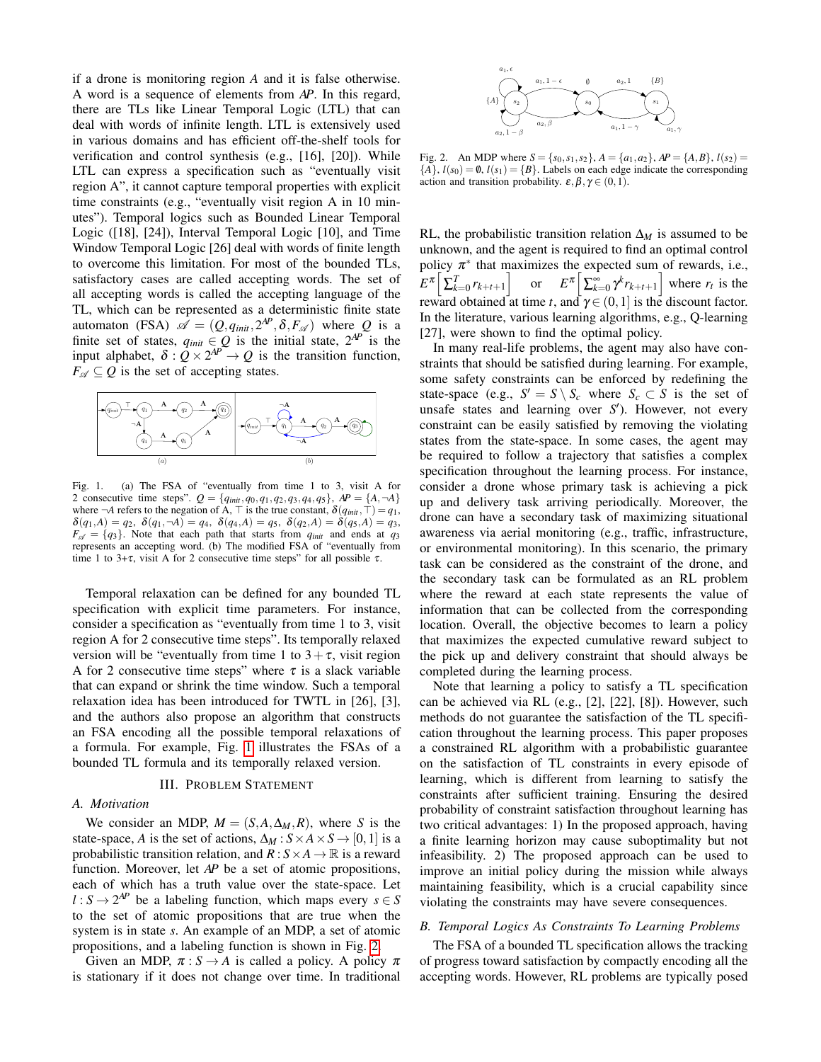if a drone is monitoring region *A* and it is false otherwise. A word is a sequence of elements from *AP*. In this regard, there are TLs like Linear Temporal Logic (LTL) that can deal with words of infinite length. LTL is extensively used in various domains and has efficient off-the-shelf tools for verification and control synthesis (e.g., [16], [20]). While LTL can express a specification such as "eventually visit region A", it cannot capture temporal properties with explicit time constraints (e.g., "eventually visit region A in 10 minutes"). Temporal logics such as Bounded Linear Temporal Logic ([18], [24]), Interval Temporal Logic [10], and Time Window Temporal Logic [26] deal with words of finite length to overcome this limitation. For most of the bounded TLs, satisfactory cases are called accepting words. The set of all accepting words is called the accepting language of the TL, which can be represented as a deterministic finite state automaton (FSA)  $\mathscr{A} = (Q, q_{init}, 2^{AP}, \delta, F_{\mathscr{A}})$  where *Q* is a finite set of states,  $q_{init} \in Q$  is the initial state,  $2^{AP}$  is the input alphabet,  $\delta$  :  $\overline{Q} \times 2^{AP} \rightarrow Q$  is the transition function,  $F_{\alpha} \subset O$  is the set of accepting states.



<span id="page-1-0"></span>Fig. 1. (a) The FSA of "eventually from time 1 to 3, visit A for 2 consecutive time steps".  $Q = \{q_{init}, q_0, q_1, q_2, q_3, q_4, q_5\}$ ,  $AP = \{A, \neg A\}$ where  $\neg A$  refers to the negation of A,  $\top$  is the true constant,  $\delta(q_{init}, \top) = q_1$ ,  $\delta(q_1, A) = q_2, \ \delta(q_1, \neg A) = q_4, \ \delta(q_4, A) = q_5, \ \delta(q_2, A) = \delta(q_5, A) = q_3,$  $F_{\mathscr{A}} = \{q_3\}$ . Note that each path that starts from  $q_{\text{init}}$  and ends at  $q_3$ represents an accepting word. (b) The modified FSA of "eventually from time 1 to 3+τ, visit A for 2 consecutive time steps" for all possible  $\tau$ .

Temporal relaxation can be defined for any bounded TL specification with explicit time parameters. For instance, consider a specification as "eventually from time 1 to 3, visit region A for 2 consecutive time steps". Its temporally relaxed version will be "eventually from time 1 to  $3+\tau$ , visit region A for 2 consecutive time steps" where  $\tau$  is a slack variable that can expand or shrink the time window. Such a temporal relaxation idea has been introduced for TWTL in [26], [3], and the authors also propose an algorithm that constructs an FSA encoding all the possible temporal relaxations of a formula. For example, Fig. [1](#page-1-0) illustrates the FSAs of a bounded TL formula and its temporally relaxed version.

# III. PROBLEM STATEMENT

# *A. Motivation*

We consider an MDP,  $M = (S, A, \Delta_M, R)$ , where *S* is the state-space, *A* is the set of actions,  $\Delta_M : S \times A \times S \rightarrow [0,1]$  is a probabilistic transition relation, and  $R: S \times A \rightarrow \mathbb{R}$  is a reward function. Moreover, let *AP* be a set of atomic propositions, each of which has a truth value over the state-space. Let  $l : S \to 2^{AP}$  be a labeling function, which maps every  $s \in S$ to the set of atomic propositions that are true when the system is in state *s*. An example of an MDP, a set of atomic propositions, and a labeling function is shown in Fig. [2.](#page-1-1)

Given an MDP,  $\pi : S \to A$  is called a policy. A policy  $\pi$ is stationary if it does not change over time. In traditional



<span id="page-1-1"></span>Fig. 2. An MDP where  $S = \{s_0, s_1, s_2\}$ ,  $A = \{a_1, a_2\}$ ,  $AP = \{A, B\}$ ,  $l(s_2) =$  ${A}$ ,  $l(s_0) = \emptyset$ ,  $l(s_1) = {B}$ . Labels on each edge indicate the corresponding action and transition probability.  $\varepsilon, \beta, \gamma \in (0,1)$ .

RL, the probabilistic transition relation ∆*<sup>M</sup>* is assumed to be unknown, and the agent is required to find an optimal control policy  $\pi^*$  that maximizes the expected sum of rewards, i.e.,  $\mathbb{E} \left[ \sum_{k=0}^{T} r_{k+t+1} \right]$  or  $\mathbb{E} \left[ \sum_{k=0}^{\infty} \gamma^k r_{k+t+1} \right]$  where  $r_t$  is the reward obtained at time *t*, and  $\gamma \in (0,1]$  is the discount factor. In the literature, various learning algorithms, e.g., Q-learning [27], were shown to find the optimal policy.

In many real-life problems, the agent may also have constraints that should be satisfied during learning. For example, some safety constraints can be enforced by redefining the state-space (e.g.,  $S' = S \setminus S_c$  where  $S_c \subset S$  is the set of unsafe states and learning over *S'*). However, not every constraint can be easily satisfied by removing the violating states from the state-space. In some cases, the agent may be required to follow a trajectory that satisfies a complex specification throughout the learning process. For instance, consider a drone whose primary task is achieving a pick up and delivery task arriving periodically. Moreover, the drone can have a secondary task of maximizing situational awareness via aerial monitoring (e.g., traffic, infrastructure, or environmental monitoring). In this scenario, the primary task can be considered as the constraint of the drone, and the secondary task can be formulated as an RL problem where the reward at each state represents the value of information that can be collected from the corresponding location. Overall, the objective becomes to learn a policy that maximizes the expected cumulative reward subject to the pick up and delivery constraint that should always be completed during the learning process.

Note that learning a policy to satisfy a TL specification can be achieved via RL (e.g., [2], [22], [8]). However, such methods do not guarantee the satisfaction of the TL specification throughout the learning process. This paper proposes a constrained RL algorithm with a probabilistic guarantee on the satisfaction of TL constraints in every episode of learning, which is different from learning to satisfy the constraints after sufficient training. Ensuring the desired probability of constraint satisfaction throughout learning has two critical advantages: 1) In the proposed approach, having a finite learning horizon may cause suboptimality but not infeasibility. 2) The proposed approach can be used to improve an initial policy during the mission while always maintaining feasibility, which is a crucial capability since violating the constraints may have severe consequences.

# *B. Temporal Logics As Constraints To Learning Problems*

The FSA of a bounded TL specification allows the tracking of progress toward satisfaction by compactly encoding all the accepting words. However, RL problems are typically posed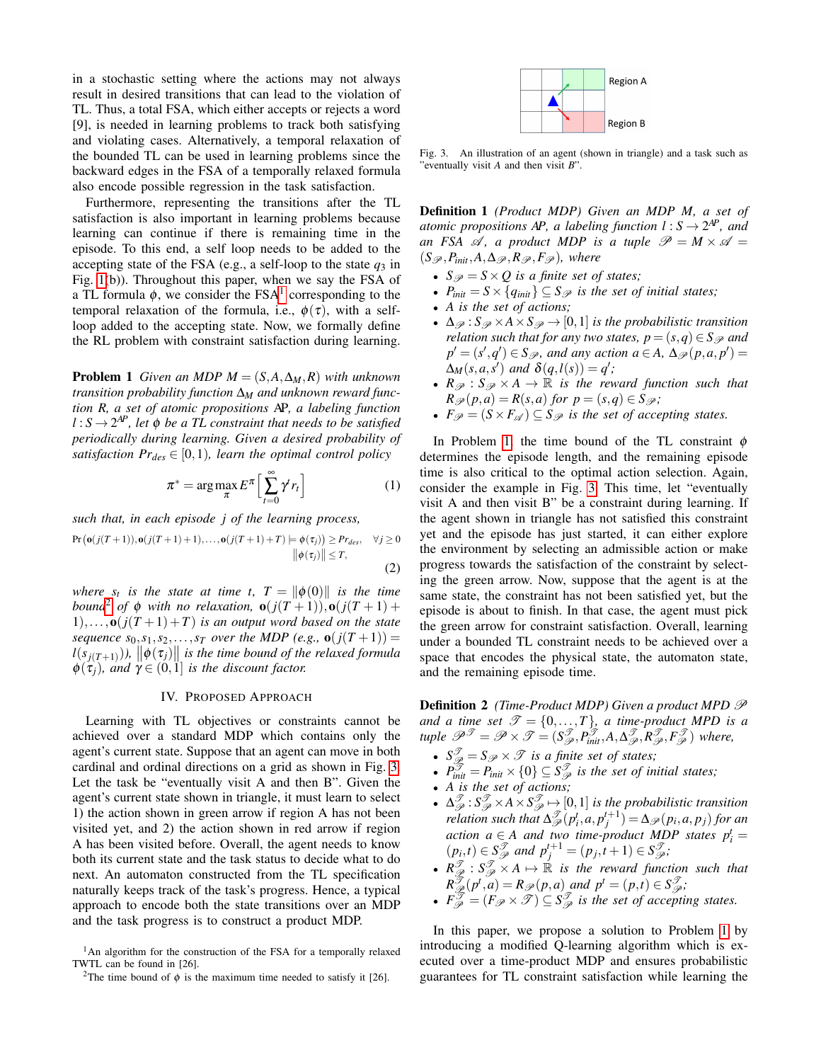in a stochastic setting where the actions may not always result in desired transitions that can lead to the violation of TL. Thus, a total FSA, which either accepts or rejects a word [9], is needed in learning problems to track both satisfying and violating cases. Alternatively, a temporal relaxation of the bounded TL can be used in learning problems since the backward edges in the FSA of a temporally relaxed formula also encode possible regression in the task satisfaction.

Furthermore, representing the transitions after the TL satisfaction is also important in learning problems because learning can continue if there is remaining time in the episode. To this end, a self loop needs to be added to the accepting state of the FSA (e.g., a self-loop to the state  $q_3$  in Fig. [1\(](#page-1-0)b)). Throughout this paper, when we say the FSA of a TL formula  $\phi$ , we consider the FSA<sup>[1](#page-2-0)</sup> corresponding to the temporal relaxation of the formula, i.e.,  $\phi(\tau)$ , with a selfloop added to the accepting state. Now, we formally define the RL problem with constraint satisfaction during learning.

**Problem 1** *Given an MDP M* =  $(S, A, \Delta_M, R)$  *with unknown transition probability function* ∆*<sup>M</sup> and unknown reward function R, a set of atomic propositions* AP*, a labeling function*  $l : S \rightarrow 2^{AP}$ , let  $\phi$  *be a TL constraint that needs to be satisfied periodically during learning. Given a desired probability of satisfaction*  $Pr_{des} \in [0, 1)$ *, learn the optimal control policy* 

$$
\pi^* = \arg\max_{\pi} E^{\pi} \Big[ \sum_{t=0}^{\infty} \gamma^t r_t \Big] \tag{1}
$$

*such that, in each episode j of the learning process,*

$$
\Pr\left(\mathbf{o}(j(T+1)),\mathbf{o}(j(T+1)+1),\ldots,\mathbf{o}(j(T+1)+T)\models\phi(\tau_j)\right)\ge Pr_{des},\quad\forall j\ge 0
$$
  

$$
\|\phi(\tau_j)\|\le T,
$$
  
(2)

*where*  $s_t$  *is the state at time t,*  $T = ||\phi(0)||$  *is the time bound*<sup>[2](#page-2-1)</sup> *of*  $\phi$  *with no relaxation,* **o** $(j(T+1))$ , **o** $(j(T+1))$  $1),...,$ **o** $(j(T+1)+T)$  *is an output word based on the state sequence*  $s_0, s_1, s_2, \ldots, s_T$  *over the MDP* (*e.g.,*  $\mathbf{o}(j(T+1)) =$  $l(s_{j(T+1)}), \|\phi(\tau_j)\|$  is the time bound of the relaxed formula  $\phi(\tau_i)$ *, and*  $\gamma \in (0,1]$  *is the discount factor.* 

#### IV. PROPOSED APPROACH

Learning with TL objectives or constraints cannot be achieved over a standard MDP which contains only the agent's current state. Suppose that an agent can move in both cardinal and ordinal directions on a grid as shown in Fig. [3.](#page-2-2) Let the task be "eventually visit A and then B". Given the agent's current state shown in triangle, it must learn to select 1) the action shown in green arrow if region A has not been visited yet, and 2) the action shown in red arrow if region A has been visited before. Overall, the agent needs to know both its current state and the task status to decide what to do next. An automaton constructed from the TL specification naturally keeps track of the task's progress. Hence, a typical approach to encode both the state transitions over an MDP and the task progress is to construct a product MDP.



<span id="page-2-2"></span>Fig. 3. An illustration of an agent (shown in triangle) and a task such as "eventually visit *A* and then visit *B*".

Definition 1 *(Product MDP) Given an MDP M, a set of atomic propositions AP, a labeling function*  $l : S \rightarrow 2^{AP}$ *, and an FSA*  $\mathscr A$ *, a product MDP is a tuple*  $\mathscr P = M \times \mathscr A =$  $(S_{\mathscr{P}}, P_{init}, A, \Delta_{\mathscr{P}}, R_{\mathscr{P}}, F_{\mathscr{P}})$ *, where* 

- $S_{\mathscr{P}} = S \times Q$  is a finite set of states;
- $P_{init} = S \times \{q_{init}\} \subseteq S \mathcal{P}$  *is the set of initial states;*
- *A is the set of actions;*
- $\Delta_{\mathscr{P}}$ :  $S_{\mathscr{P}} \times A \times S_{\mathscr{P}} \rightarrow [0,1]$  *is the probabilistic transition relation such that for any two states,*  $p = (s, q) \in S_{\mathcal{P}}$  *and*  $p' = (s', q') \in S_{\mathscr{P}}$ , and any action  $a \in A$ ,  $\Delta_{\mathscr{P}}(p, a, p') =$  $\Delta_M(s, a, s')$  and  $\delta(q, l(s)) = q'$ ;
- $R_{\mathscr{P}}: S_{\mathscr{P}} \times A \rightarrow \mathbb{R}$  *is the reward function such that*  $R_{\mathscr{P}}(p,a) = R(s,a)$  *for*  $p = (s,q) \in S_{\mathscr{P}}$ *;*
- $F_{\mathscr{P}} = (S \times F_{\mathscr{A}}) \subseteq S_{\mathscr{P}}$  *is the set of accepting states.*

<span id="page-2-4"></span><span id="page-2-3"></span>In Problem [1,](#page-2-3) the time bound of the TL constraint  $\phi$ determines the episode length, and the remaining episode time is also critical to the optimal action selection. Again, consider the example in Fig. [3.](#page-2-2) This time, let "eventually visit A and then visit B" be a constraint during learning. If the agent shown in triangle has not satisfied this constraint yet and the episode has just started, it can either explore the environment by selecting an admissible action or make progress towards the satisfaction of the constraint by selecting the green arrow. Now, suppose that the agent is at the same state, the constraint has not been satisfied yet, but the episode is about to finish. In that case, the agent must pick the green arrow for constraint satisfaction. Overall, learning under a bounded TL constraint needs to be achieved over a space that encodes the physical state, the automaton state, and the remaining episode time.

**Definition 2** *(Time-Product MDP)* Given a product MPD  $\mathscr P$ *and a time set*  $\mathscr{T} = \{0, \ldots, T\}$ *, a time-product MPD is a*  $\textrm{tuple} \ \mathscr{P}^{\mathscr{T}} = \mathscr{P} \times \mathscr{T} = (S^{\mathscr{T}}_{\mathscr{P}}, P^{\mathscr{T}}_{init}, A, \Delta^{\mathscr{T}}_{\mathscr{P}}, R^{\mathscr{T}}_{\mathscr{P}}, F^{\mathscr{T}}_{\mathscr{P}}) \ \textrm{where,}$ 

- $S_{\mathscr{P}}^{\mathscr{T}} = S_{\mathscr{P}} \times \mathscr{T}$  *is a finite set of states;*
- $P_{\text{init}}^{\mathcal{T}} = P_{\text{init}} \times \{0\} \subseteq S_{\mathcal{P}}^{\mathcal{T}}$  *is the set of initial states;*
- *A is the set of actions;*
- $\Delta^{\mathcal{T}}_{\mathcal{P}}$ :  $S^{\mathcal{T}}_{\mathcal{P}} \times A \times S^{\mathcal{T}}_{\mathcal{P}} \mapsto [0,1]$  *is the probabilistic transition relation such that*  $\Delta^{\mathcal{T}}_{\mathcal{P}}(p_i^t, a, p_j^{t+1}) = \Delta_{\mathcal{P}}(p_i, a, p_j)$  *for an action a*  $\in$  *A and two time-product MDP states*  $p_i^t =$  $(p_i, t) \in S^{\mathcal{T}}_{\mathcal{P}}$  and  $p_j^{t+1} = (p_j, t+1) \in S^{\mathcal{T}}_{\mathcal{P}};$
- $R_{\mathscr{P}}^{\mathscr{T}}: S_{\mathscr{P}}^{\mathscr{T}} \times A \mapsto \mathbb{R}$  *is the reward function such that*  $R\frac{\mathcal{F}}{\mathcal{P}}(p^t, a) = R_{\mathcal{P}}(p, a)$  *and*  $p^t = (p, t) \in S_{\mathcal{P}}^{\mathcal{F}}$ ;
- $F_{\mathscr{P}}^{\mathscr{T}} = (F_{\mathscr{P}} \times \mathscr{T}) \subseteq S_{\mathscr{P}}^{\mathscr{T}}$  *is the set of accepting states.*

In this paper, we propose a solution to Problem [1](#page-2-3) by introducing a modified Q-learning algorithm which is executed over a time-product MDP and ensures probabilistic guarantees for TL constraint satisfaction while learning the

<span id="page-2-0"></span><sup>&</sup>lt;sup>1</sup>An algorithm for the construction of the FSA for a temporally relaxed TWTL can be found in [26].

<span id="page-2-1"></span><sup>&</sup>lt;sup>2</sup>The time bound of  $\phi$  is the maximum time needed to satisfy it [26].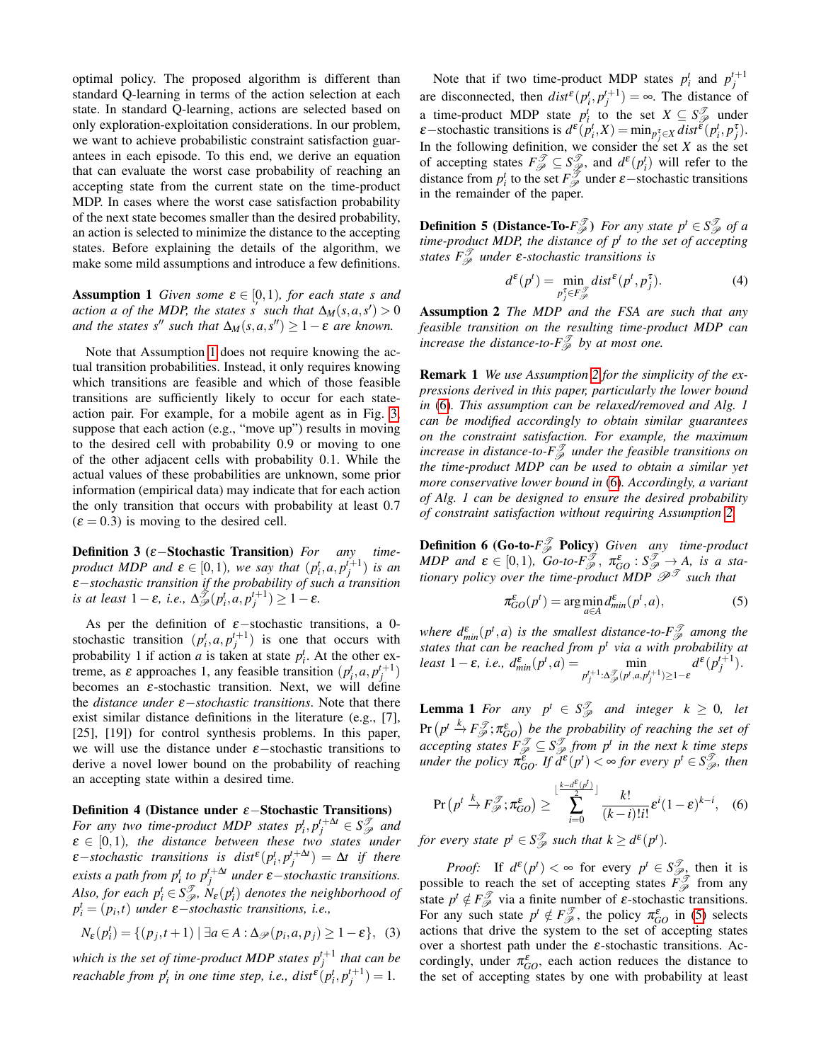optimal policy. The proposed algorithm is different than standard Q-learning in terms of the action selection at each state. In standard Q-learning, actions are selected based on only exploration-exploitation considerations. In our problem, we want to achieve probabilistic constraint satisfaction guarantees in each episode. To this end, we derive an equation that can evaluate the worst case probability of reaching an accepting state from the current state on the time-product MDP. In cases where the worst case satisfaction probability of the next state becomes smaller than the desired probability, an action is selected to minimize the distance to the accepting states. Before explaining the details of the algorithm, we make some mild assumptions and introduce a few definitions.

<span id="page-3-0"></span>**Assumption 1** *Given some*  $\varepsilon \in [0,1)$ *, for each state s and action a of the MDP, the states s* such that  $\Delta_M(s, a, s') > 0$ *and the states s*<sup>*n*</sup> *such that*  $\Delta_M(s, a, s'') \geq 1 - \varepsilon$  *are known.* 

Note that Assumption [1](#page-3-0) does not require knowing the actual transition probabilities. Instead, it only requires knowing which transitions are feasible and which of those feasible transitions are sufficiently likely to occur for each stateaction pair. For example, for a mobile agent as in Fig. [3,](#page-2-2) suppose that each action (e.g., "move up") results in moving to the desired cell with probability 0.9 or moving to one of the other adjacent cells with probability 0.1. While the actual values of these probabilities are unknown, some prior information (empirical data) may indicate that for each action the only transition that occurs with probability at least 0.7  $(\varepsilon = 0.3)$  is moving to the desired cell.

Definition 3 (ε−Stochastic Transition) *For any timeproduct MDP and*  $\varepsilon \in [0,1)$ *, we say that*  $(p_i^t, a, p_j^{t+1})$  *is an* ε−*stochastic transition if the probability of such a transition*  $\int$ *is at least*  $1 - \varepsilon$ *, i.e.,*  $\Delta^{\tilde{\mathcal{F}}}_{\mathcal{P}}(p_i^t, a, p_j^{t+1}) \geq 1 - \varepsilon$ *.* 

As per the definition of  $\varepsilon$ -stochastic transitions, a 0stochastic transition  $(p_i^t, a, p_j^{t+1})$  is one that occurs with probability 1 if action *a* is taken at state  $p_i^t$ . At the other extreme, as  $\varepsilon$  approaches 1, any feasible transition  $(p_i^t, a, p_j^{t+1})$ becomes an  $\varepsilon$ -stochastic transition. Next, we will define the *distance under* ε−*stochastic transitions*. Note that there exist similar distance definitions in the literature (e.g., [7], [25], [19]) for control synthesis problems. In this paper, we will use the distance under  $\varepsilon$ −stochastic transitions to derive a novel lower bound on the probability of reaching an accepting state within a desired time.

Definition 4 (Distance under ε−Stochastic Transitions) *For any two time-product MDP states*  $p_i^t, p_j^{t + \Delta t} \in S_{\mathscr{P}}^{\mathscr{T}}$  and  $\varepsilon \in [0,1)$ , the distance between these two states under  $\varepsilon$ -*stochastic transitions is dist*<sup> $\varepsilon$ </sup>( $p_i^t$ , $p_j^{t + \Delta t}$ ) =  $\Delta t$  *if there exists a path from*  $p_i^t$  *to*  $p_j^{t + \Delta t}$  *under*  $\varepsilon$  *– <i>stochastic transitions. Also, for each*  $p_i^t \in S_{\mathscr{P}}^{\mathscr{T}}, N_{\mathscr{E}}(p_i^t)$  *denotes the neighborhood of*  $p_i^t = (p_i, t)$  *under*  $\varepsilon$ −*stochastic transitions, i.e.,* 

$$
N_{\varepsilon}(p_i^t) = \{ (p_j, t+1) \mid \exists a \in A : \Delta_{\mathscr{P}}(p_i, a, p_j) \ge 1 - \varepsilon \}, \tag{3}
$$

which is the set of time-product MDP states  $p_j^{t+1}$  that can be *reachable from*  $p_i^t$  *in one time step, i.e., dist*<sup>ε</sup> $(p_i^t, p_j^{t+1}) = 1$ *.* 

Note that if two time-product MDP states  $p_i^t$  and  $p_j^{t+1}$ are disconnected, then  $dist^{\epsilon}(p_i^t, p_j^{t+1}) = \infty$ . The distance of a time-product MDP state  $p_i^t$  to the set  $X \subseteq S_{\mathscr{P}}^{\mathscr{T}}$  under  $\varepsilon$ —stochastic transitions is  $d^{\varepsilon}(p_i^t, X) = \min_{p_j^{\tau} \in X} dist^{\tilde{\varepsilon}}(p_i^t, p_j^{\tau}).$ In the following definition, we consider the set  $X$  as the set of accepting states  $F_{\mathscr{P}}^{\mathscr{T}} \subseteq S_{\mathscr{P}}^{\mathscr{T}}$ , and  $d^{\varepsilon}(p_i^t)$  will refer to the distance from  $p_i^t$  to the set  $F_{\mathscr{P}}^{\mathscr{T}}$  under  $\varepsilon$  –stochastic transitions in the remainder of the paper.

**Definition 5 (Distance-To-** $F_{\mathscr{P}}^{\mathscr{T}}$ **)** For any state  $p^t \in S_{\mathscr{P}}^{\mathscr{T}}$  of a *time-product MDP, the distance of p<sup>t</sup> to the set of accepting states F*<sup>T</sup> <sup>P</sup> *under* ε*-stochastic transitions is*

<span id="page-3-4"></span>
$$
d^{\varepsilon}(p^t) = \min_{p_j^{\tau} \in F_{\mathcal{P}}^{\mathcal{F}}} dist^{\varepsilon}(p^t, p_j^{\tau}). \tag{4}
$$

<span id="page-3-1"></span>Assumption 2 *The MDP and the FSA are such that any feasible transition on the resulting time-product MDP can increase the distance-to-* $F^{\mathcal{T}}_{\mathcal{P}}$  *by at most one.* 

Remark 1 *We use Assumption [2](#page-3-1) for the simplicity of the expressions derived in this paper, particularly the lower bound in* [\(6\)](#page-3-2)*. This assumption can be relaxed/removed and Alg. 1 can be modified accordingly to obtain similar guarantees on the constraint satisfaction. For example, the maximum increase in distance-to-* $F_{\mathscr{P}}^{\mathscr{T}}$  *under the feasible transitions on the time-product MDP can be used to obtain a similar yet more conservative lower bound in* [\(6\)](#page-3-2)*. Accordingly, a variant of Alg. 1 can be designed to ensure the desired probability of constraint satisfaction without requiring Assumption [2.](#page-3-1)*

**Definition 6 (Go-to-** $F^{\mathcal{T}}_{\mathcal{P}}$  **Policy)** *Given any time-product*  $MDP$  and  $\varepsilon \in [0,1)$ ,  $Go-to-F_{\mathscr{P}}^{\mathscr{T}}, \pi_{GO}^{\varepsilon} : S_{\mathscr{P}}^{\mathscr{T}} \to A$ , is a sta*tionary policy over the time-product MDP*  $\mathscr{P}^{\mathscr{T}}$  *such that* 

<span id="page-3-3"></span>
$$
\pi_{GO}^{\varepsilon}(p^{t}) = \arg\min_{a \in A} d_{min}^{\varepsilon}(p^{t}, a), \tag{5}
$$

*where*  $d_{min}^{\varepsilon}(p^t, a)$  *is the smallest distance-to-* $F_{\mathscr{P}}^{\mathscr{T}}$  *among the states that can be reached from p<sup>t</sup> via a with probability at least* 1 – *ε*, *i.e.*,  $d_{min}^{\varepsilon}(p^t, a) = \min_{p_j^{t+1} : \Delta_{\mathscr{P}}^{\mathscr{F}}(p^t, a, p_j^{t+1}) \ge 1-\varepsilon}$  $d^{\varepsilon}(p_j^{t+1}).$ 

**Lemma 1** *For any*  $p^t \in S_{\mathcal{P}}^{\mathcal{T}}$  *and integer*  $k \geq 0$ *, let*  $Pr\left(p^t \stackrel{k}{\rightarrow} F_{\mathscr{P}}^{\mathscr{T}}; \pi_{GO}^{\varepsilon}\right)$  *be the probability of reaching the set of accepting states*  $F_{\mathscr{P}}^{\mathscr{T}} \subseteq S_{\mathscr{P}}^{\mathscr{T}}$  *from p<sup>t</sup>* in the next k time steps  $\omega$ *under the policy*  $\pi_{GO}^{\varepsilon}$ *. If*  $d^{\varepsilon}(p^t) < \infty$  *for every*  $p^t \in S_{\mathscr{P}}^{\mathscr{T}}$ *, then* 

<span id="page-3-2"></span>
$$
\Pr\left(p^t \stackrel{k}{\to} F_{\mathscr{P}}^{\mathscr{T}}; \pi_{GO}^{\varepsilon}\right) \ge \sum_{i=0}^{\lfloor \frac{k-d^{\varepsilon}(p^t)}{2} \rfloor} \frac{k!}{(k-i)!i!} \varepsilon^i (1-\varepsilon)^{k-i}, \quad (6)
$$

*for every state*  $p^t \in S_{\mathcal{P}}^{\mathcal{T}}$  *such that*  $k \geq d^{\mathcal{E}}(p^t)$ *.* 

*Proof:* If  $d^{\varepsilon}(p^t) < \infty$  for every  $p^t \in S_{\mathscr{P}_{\infty}}^{\mathscr{T}}$ , then it is possible to reach the set of accepting states  $\tilde{F}_{\mathcal{P}}^{\mathcal{J}}$  from any state  $p^t \notin F_{\mathscr{P}}^{\mathscr{T}}$  via a finite number of  $\varepsilon$ -stochastic transitions. For any such state  $p^t \notin F_{\mathscr{P}}^{\mathscr{T}}$ , the policy  $\pi_{GO}^{\varepsilon}$  in [\(5\)](#page-3-3) selects actions that drive the system to the set of accepting states over a shortest path under the  $\varepsilon$ -stochastic transitions. Accordingly, under  $\pi_{GO}^{\varepsilon}$ , each action reduces the distance to the set of accepting states by one with probability at least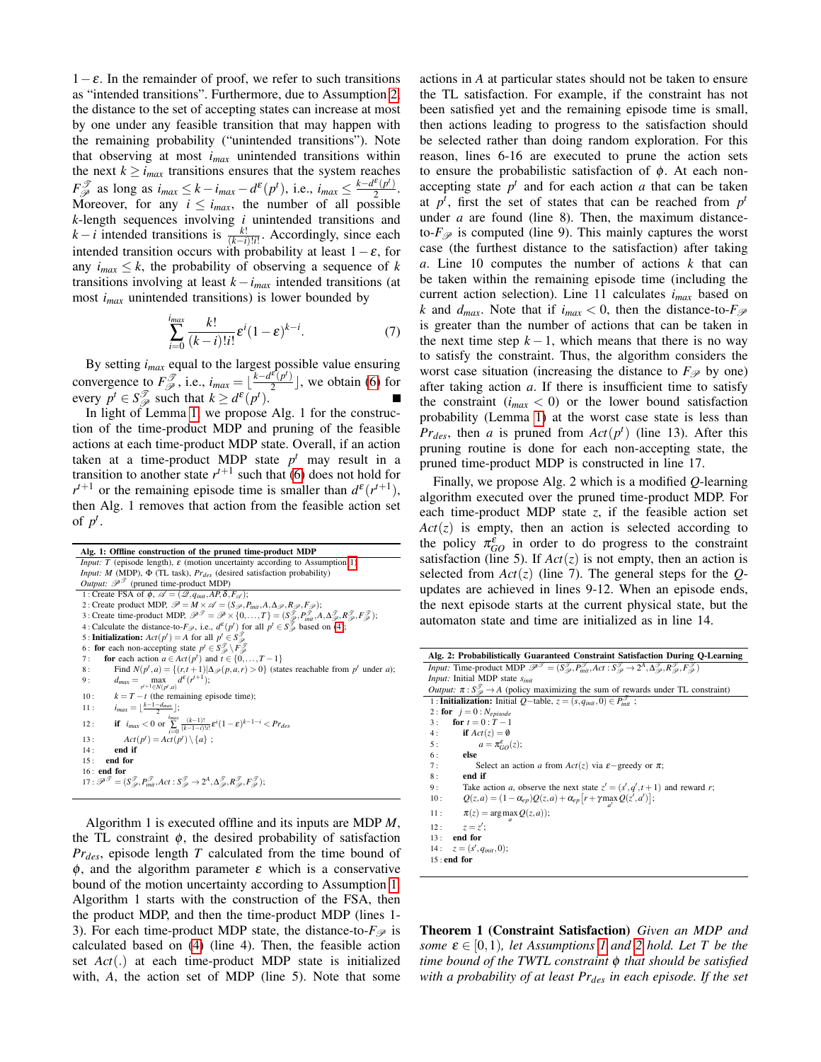$1-\varepsilon$ . In the remainder of proof, we refer to such transitions as "intended transitions". Furthermore, due to Assumption [2,](#page-3-1) the distance to the set of accepting states can increase at most by one under any feasible transition that may happen with the remaining probability ("unintended transitions"). Note that observing at most *imax* unintended transitions within the next  $k \ge i_{max}$  transitions ensures that the system reaches  $F_{\mathscr{P}}^{\mathscr{T}}$  as long as  $i_{max} \leq k - i_{max} - d^{\varepsilon}(p^t)$ , i.e.,  $i_{max} \leq \frac{k - d^{\varepsilon}(p^t)}{2}$  $\frac{(p)}{2}$ . Moreover, for any  $i \leq i_{max}$ , the number of all possible *k*-length sequences involving *i* unintended transitions and  $k - i$  intended transitions is  $\frac{k!}{(k-i)!i!}$ . Accordingly, since each intended transition occurs with probability at least  $1 - \varepsilon$ , for any  $i_{max} \leq k$ , the probability of observing a sequence of *k* transitions involving at least *k*−*imax* intended transitions (at most *imax* unintended transitions) is lower bounded by

$$
\sum_{i=0}^{i_{max}} \frac{k!}{(k-i)!i!} \varepsilon^i (1-\varepsilon)^{k-i}.\tag{7}
$$

By setting *imax* equal to the largest possible value ensuring convergence to  $F_{\mathscr{P}}^{\mathscr{T}}$ , i.e.,  $i_{max} = \lfloor \frac{k - d^{\mathscr{E}}(p^t)}{2} \rfloor$  $\frac{\tau(p)}{2}$ , we obtain [\(6\)](#page-3-2) for every  $p^t \in S^{\mathcal{T}}_{\mathcal{P}}$  such that  $k \geq d^{\varepsilon}(p^t)$ .

In light of Lemma [1,](#page-3-2) we propose Alg. 1 for the construction of the time-product MDP and pruning of the feasible actions at each time-product MDP state. Overall, if an action taken at a time-product MDP state  $p<sup>t</sup>$  may result in a transition to another state  $r^{t+1}$  such that [\(6\)](#page-3-2) does not hold for  $r^{t+1}$  or the remaining episode time is smaller than  $d^{\varepsilon}(r^{t+1})$ , then Alg. 1 removes that action from the feasible action set of  $p^t$ .

| Alg. 1: Offline construction of the pruned time-product MDP                                                                                                                                                                                                    |  |  |  |  |  |  |  |  |
|----------------------------------------------------------------------------------------------------------------------------------------------------------------------------------------------------------------------------------------------------------------|--|--|--|--|--|--|--|--|
| <i>Input: T</i> (episode length), $\varepsilon$ (motion uncertainty according to Assumption 1)                                                                                                                                                                 |  |  |  |  |  |  |  |  |
| <i>Input: M</i> (MDP), $\Phi$ (TL task), $Pr_{des}$ (desired satisfaction probability)                                                                                                                                                                         |  |  |  |  |  |  |  |  |
| <i>Output:</i> $\mathcal{P}^{\mathcal{T}}$ (pruned time-product MDP)                                                                                                                                                                                           |  |  |  |  |  |  |  |  |
| 1: Create FSA of $\phi$ , $\mathscr{A} = (2, q_{init}, AP, \delta, F_{\mathscr{A}});$                                                                                                                                                                          |  |  |  |  |  |  |  |  |
| 2: Create product MDP, $\mathcal{P} = M \times \mathcal{A} = (S_{\mathcal{P}}, P_{init}, A, \Delta_{\mathcal{P}}, R_{\mathcal{P}}, F_{\mathcal{P}});$                                                                                                          |  |  |  |  |  |  |  |  |
| 3 : Create time-product MDP, $\mathcal{P}^{\mathcal{T}} = \mathcal{P} \times \{0, \ldots, T\} = (S^{\mathcal{T}}_{\mathcal{P}}, P^{\mathcal{T}}_{init}, A, \Delta^{\mathcal{T}}_{\mathcal{P}}, R^{\mathcal{T}}_{\mathcal{P}}, F^{\mathcal{T}}_{\mathcal{P}});$ |  |  |  |  |  |  |  |  |
| 4 : Calculate the distance-to- $F_{\mathscr{P}}$ , i.e., $d^{\varepsilon}(p^t)$ for all $p^t \in S_{\mathscr{P}}^{\mathscr{T}}$ based on (4);                                                                                                                  |  |  |  |  |  |  |  |  |
| 5 : <b>Initialization:</b> $Act(p^t) = A$ for all $p^t \in S^{\mathcal{T}}_{\infty}$                                                                                                                                                                           |  |  |  |  |  |  |  |  |
| 6: for each non-accepting state $p^t \in S^{\mathcal{T}}_{\mathcal{P}} \setminus F^{\mathcal{T}}_{\mathcal{P}}$                                                                                                                                                |  |  |  |  |  |  |  |  |
| for each action $a \in \text{Act}(p^t)$ and $t \in \{0, , T-1\}$<br>7:                                                                                                                                                                                         |  |  |  |  |  |  |  |  |
| Find $N(p^t, a) = \{(r, t+1) \Delta \mathcal{P}(p, a, r) > 0\}$ (states reachable from $p^t$ under a);<br>8:                                                                                                                                                   |  |  |  |  |  |  |  |  |
| $d_{max} = \max_{r^{t+1} \in N(n^t, a)} d^{\varepsilon}(r^{t+1});$<br>9:                                                                                                                                                                                       |  |  |  |  |  |  |  |  |
| $k = T - t$ (the remaining episode time);<br>10:                                                                                                                                                                                                               |  |  |  |  |  |  |  |  |
| $i_{max} = \lfloor \frac{k-1-d_{max}}{2} \rfloor$ ;<br>11:                                                                                                                                                                                                     |  |  |  |  |  |  |  |  |
| if $i_{max} < 0$ or $\sum_{k=0}^{i_{max}} \frac{(k-1)!}{(k-1-i)!i!} \varepsilon^{i} (1-\varepsilon)^{k-1-i} < Pr_{des}$<br>12:                                                                                                                                 |  |  |  |  |  |  |  |  |
| $Act(p^{t}) = Act(p^{t}) \setminus \{a\}$ ;<br>13:                                                                                                                                                                                                             |  |  |  |  |  |  |  |  |
| end if<br>14:                                                                                                                                                                                                                                                  |  |  |  |  |  |  |  |  |
| end for<br>15:                                                                                                                                                                                                                                                 |  |  |  |  |  |  |  |  |
| $16:$ end for                                                                                                                                                                                                                                                  |  |  |  |  |  |  |  |  |
| $17: \mathscr{P}^{\mathscr{T}} = (S^{\mathscr{T}}_{\mathscr{A}}, P^{\mathscr{T}}_{init}, Act : S^{\mathscr{T}}_{\mathscr{A}} \rightarrow 2^A, \Delta^{\mathscr{T}}_{\mathscr{A}}, R^{\mathscr{T}}_{\mathscr{A}}, F^{\mathscr{T}}_{\mathscr{A}});$              |  |  |  |  |  |  |  |  |

Algorithm 1 is executed offline and its inputs are MDP *M*, the TL constraint  $\phi$ , the desired probability of satisfaction *Prdes*, episode length *T* calculated from the time bound of  $\phi$ , and the algorithm parameter  $\varepsilon$  which is a conservative bound of the motion uncertainty according to Assumption [1.](#page-3-0) Algorithm 1 starts with the construction of the FSA, then the product MDP, and then the time-product MDP (lines 1- 3). For each time-product MDP state, the distance-to- $F$  is calculated based on [\(4\)](#page-3-4) (line 4). Then, the feasible action set *Act*(.) at each time-product MDP state is initialized with, *A*, the action set of MDP (line 5). Note that some actions in *A* at particular states should not be taken to ensure the TL satisfaction. For example, if the constraint has not been satisfied yet and the remaining episode time is small, then actions leading to progress to the satisfaction should be selected rather than doing random exploration. For this reason, lines 6-16 are executed to prune the action sets to ensure the probabilistic satisfaction of  $\phi$ . At each nonaccepting state  $p<sup>t</sup>$  and for each action *a* that can be taken at  $p<sup>t</sup>$ , first the set of states that can be reached from  $p<sup>t</sup>$ under *a* are found (line 8). Then, the maximum distanceto- $F_{\mathscr{P}}$  is computed (line 9). This mainly captures the worst case (the furthest distance to the satisfaction) after taking *a*. Line 10 computes the number of actions *k* that can be taken within the remaining episode time (including the current action selection). Line 11 calculates *imax* based on *k* and  $d_{max}$ . Note that if  $i_{max} < 0$ , then the distance-to- $F_{\mathscr{P}}$ is greater than the number of actions that can be taken in the next time step  $k - 1$ , which means that there is no way to satisfy the constraint. Thus, the algorithm considers the worst case situation (increasing the distance to  $F$ <sub> $\mathcal{P}$ </sub> by one) after taking action *a*. If there is insufficient time to satisfy the constraint  $(i_{max} < 0)$  or the lower bound satisfaction probability (Lemma [1\)](#page-3-2) at the worst case state is less than  $Pr_{des}$ , then *a* is pruned from  $Act(p^t)$  (line 13). After this pruning routine is done for each non-accepting state, the pruned time-product MDP is constructed in line 17.

Finally, we propose Alg. 2 which is a modified *Q*-learning algorithm executed over the pruned time-product MDP. For each time-product MDP state *z*, if the feasible action set  $Act(z)$  is empty, then an action is selected according to the policy  $\pi_{GO}^{\varepsilon}$  in order to do progress to the constraint satisfaction (line 5). If  $Act(z)$  is not empty, then an action is selected from  $Act(z)$  (line 7). The general steps for the *Q*updates are achieved in lines 9-12. When an episode ends, the next episode starts at the current physical state, but the automaton state and time are initialized as in line 14.

| Alg. 2: Probabilistically Guaranteed Constraint Satisfaction During Q-Learning                                                                                                                                                                  |  |  |  |  |  |  |  |
|-------------------------------------------------------------------------------------------------------------------------------------------------------------------------------------------------------------------------------------------------|--|--|--|--|--|--|--|
| <i>Input:</i> Time-product MDP $\mathcal{P}^{\mathcal{F}} = (S^{\mathcal{F}}_{\varphi}, P^{\mathcal{F}}_{init}, Act : S^{\mathcal{F}}_{\varphi} \to 2^A, \Delta^{\mathcal{F}}_{\varphi}, R^{\mathcal{F}}_{\varphi}, F^{\mathcal{F}}_{\varphi})$ |  |  |  |  |  |  |  |
| <i>Input:</i> Initial MDP state <i>Sinit</i>                                                                                                                                                                                                    |  |  |  |  |  |  |  |
| <i>Output:</i> $\pi : S^{\mathcal{T}}_{\mathcal{P}} \to A$ (policy maximizing the sum of rewards under TL constraint)                                                                                                                           |  |  |  |  |  |  |  |
| 1 : <b>Initialization:</b> Initial Q-table, $z = (s, q_{init}, 0) \in P_{init}^{\mathcal{I}}$ ;                                                                                                                                                 |  |  |  |  |  |  |  |
| 2 : for $j = 0$ : $N_{enisode}$                                                                                                                                                                                                                 |  |  |  |  |  |  |  |
| 3: for $t = 0$ : $T-1$                                                                                                                                                                                                                          |  |  |  |  |  |  |  |
| 4: if $Act(z) = \emptyset$                                                                                                                                                                                                                      |  |  |  |  |  |  |  |
| $a = \pi_{CO}^{\varepsilon}(z);$<br>5:                                                                                                                                                                                                          |  |  |  |  |  |  |  |
| 6 :<br>else                                                                                                                                                                                                                                     |  |  |  |  |  |  |  |
| Select an action a from $Act(z)$ via $\varepsilon$ -greedy or $\pi$ ;<br>7:                                                                                                                                                                     |  |  |  |  |  |  |  |
| end if<br>8:                                                                                                                                                                                                                                    |  |  |  |  |  |  |  |
| Take action a, observe the next state $z' = (s', q', t + 1)$ and reward r;<br>9:                                                                                                                                                                |  |  |  |  |  |  |  |
| $Q(z,a) = (1 - \alpha_{ep})Q(z,a) + \alpha_{ep}[r + \gamma \max_{\alpha} Q(z',a')]$ ;<br>10:                                                                                                                                                    |  |  |  |  |  |  |  |
| $\pi(z) = \arg \max Q(z, a)$ ;<br>11:                                                                                                                                                                                                           |  |  |  |  |  |  |  |
| $z = z'$<br>12:                                                                                                                                                                                                                                 |  |  |  |  |  |  |  |
| end for<br>13:                                                                                                                                                                                                                                  |  |  |  |  |  |  |  |
| $z = (s', q_{init}, 0);$<br>14:                                                                                                                                                                                                                 |  |  |  |  |  |  |  |
| $15:$ end for                                                                                                                                                                                                                                   |  |  |  |  |  |  |  |

Theorem 1 (Constraint Satisfaction) *Given an MDP and some*  $\varepsilon \in [0,1)$ *, let Assumptions [1](#page-3-0) and [2](#page-3-1) hold. Let T be the time bound of the TWTL constraint* φ *that should be satisfied with a probability of at least Prdes in each episode. If the set*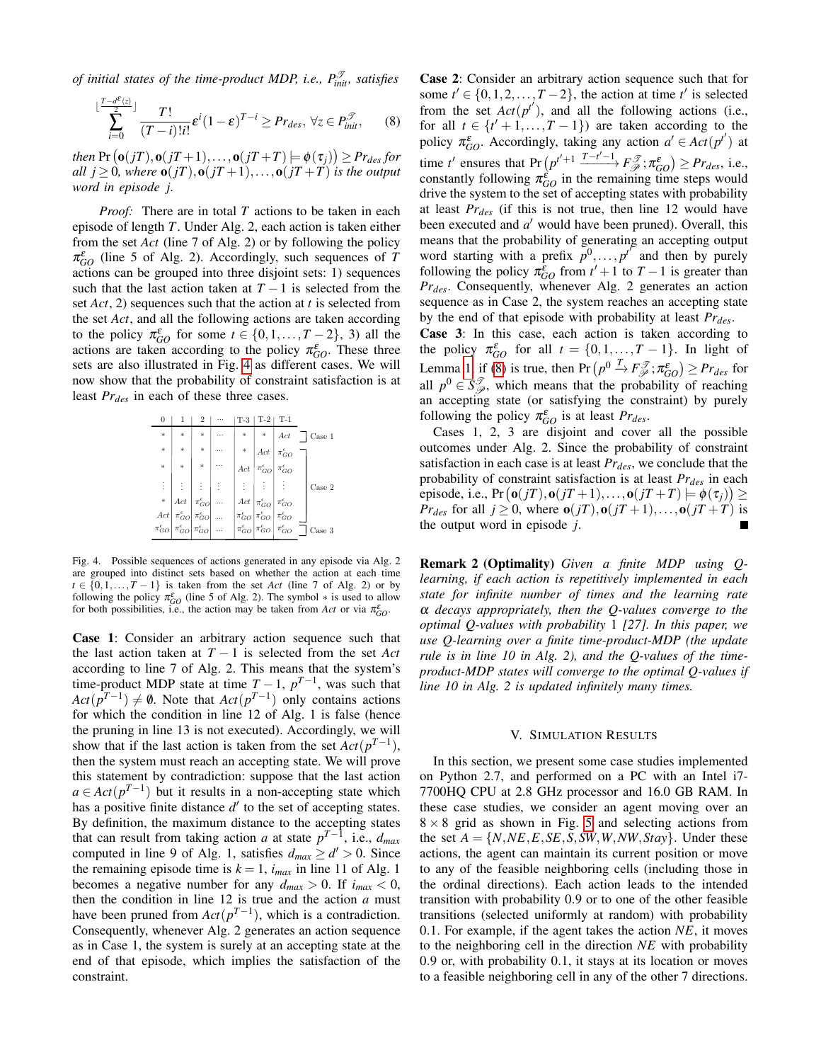*of initial states of the time-product MDP, i.e.,*  $P_{init}^{\mathcal{T}}$ *, satisfies* 

$$
\sum_{i=0}^{\lfloor \frac{T-d^{\varepsilon}(z)}{2} \rfloor} \frac{T!}{(T-i)!i!} \varepsilon^{i} (1-\varepsilon)^{T-i} \geq Pr_{des}, \,\forall z \in P_{init}^{\mathcal{T}},\qquad(8)
$$

 $\mathsf{f}$  then  $\Pr\big(\mathbf{o}(jT),\mathbf{o}(jT\!+\!1),\ldots,\mathbf{o}(jT\!+\!T)\big|\!\models\!\boldsymbol{\phi}(\tau_j)\big)\!\geq\!Pr_{des}$  for *all*  $j \geq 0$ *, where*  $o(jT)$ ,  $o(jT+1)$ ,...,  $o(jT+T)$  *is the output word in episode j.*

*Proof:* There are in total *T* actions to be taken in each episode of length *T*. Under Alg. 2, each action is taken either from the set *Act* (line 7 of Alg. 2) or by following the policy  $\pi_{GO}^{\varepsilon}$  (line 5 of Alg. 2). Accordingly, such sequences of *T* actions can be grouped into three disjoint sets: 1) sequences such that the last action taken at  $T - 1$  is selected from the set *Act*, 2) sequences such that the action at *t* is selected from the set *Act*, and all the following actions are taken according to the policy  $\pi_{GO}^{\varepsilon}$  for some  $t \in \{0, 1, ..., T-2\}$ , 3) all the actions are taken according to the policy  $\pi_{GO}^{\varepsilon}$ . These three sets are also illustrated in Fig. [4](#page-5-0) as different cases. We will now show that the probability of constraint satisfaction is at least  $Pr_{des}$  in each of these three cases.

|          |                                                                                                                                                                                                                       | 2      | <br>Т-3 | Г-2                                                                                                                                                                                                                    | T-1                                                                                                                                  |              |
|----------|-----------------------------------------------------------------------------------------------------------------------------------------------------------------------------------------------------------------------|--------|---------|------------------------------------------------------------------------------------------------------------------------------------------------------------------------------------------------------------------------|--------------------------------------------------------------------------------------------------------------------------------------|--------------|
| *        | *                                                                                                                                                                                                                     | $\ast$ | *       |                                                                                                                                                                                                                        | $\parallel$ Act $\parallel$                                                                                                          | Case 1       |
| $\ast$   | $\ast$                                                                                                                                                                                                                | $\ast$ |         |                                                                                                                                                                                                                        | * $\begin{array}{c c}\n & \n\text{Act} & \pi_{GO}^{\epsilon} \\ \text{Act} & \pi_{GO}^{\epsilon} & \pi_{GO}^{\epsilon}\n\end{array}$ |              |
| *        | ×.                                                                                                                                                                                                                    | $\ast$ | $Act$   |                                                                                                                                                                                                                        |                                                                                                                                      |              |
| $\vdots$ | $\vdots$                                                                                                                                                                                                              | ÷      | ÷.      |                                                                                                                                                                                                                        | 主事主                                                                                                                                  | Case 2       |
|          | $\begin{array}{c c} \ast & Act & \pi_{GO}^{\epsilon} & \cdots \\ Act & \pi_{GO}^{\epsilon} & \pi_{GO}^{\epsilon} & \cdots \\ \pi_{GO}^{\epsilon} & \pi_{GO}^{\epsilon} & \pi_{GO}^{\epsilon} & \cdots \\ \end{array}$ |        |         | $\begin{array}{c c} Act & \pi_{GO}^{\epsilon} & \pi_{GO}^{\epsilon} \\ \pi_{GO}^{\epsilon} & \pi_{GO}^{\epsilon} & \pi_{GO}^{\epsilon} \\ \pi_{GO}^{\epsilon} & \pi_{GO}^{\epsilon} & \pi_{GO}^{\epsilon} \end{array}$ |                                                                                                                                      |              |
|          |                                                                                                                                                                                                                       |        |         |                                                                                                                                                                                                                        |                                                                                                                                      |              |
|          |                                                                                                                                                                                                                       |        |         |                                                                                                                                                                                                                        |                                                                                                                                      | $\rm Case~3$ |

<span id="page-5-0"></span>Fig. 4. Possible sequences of actions generated in any episode via Alg. 2 are grouped into distinct sets based on whether the action at each time  $t \in \{0, 1, \ldots, T-1\}$  is taken from the set *Act* (line 7 of Alg. 2) or by following the policy  $\pi_{GO}^{\varepsilon}$  (line 5 of Alg. 2). The symbol  $*$  is used to allow for both possibilities, i.e., the action may be taken from *Act* or via  $\pi_{GO}^{\varepsilon}$ .

Case 1: Consider an arbitrary action sequence such that the last action taken at *T* − 1 is selected from the set *Act* according to line 7 of Alg. 2. This means that the system's time-product MDP state at time  $T-1$ ,  $p^{T-1}$ , was such that  $Act(p^{T-1}) \neq \emptyset$ . Note that  $Act(p^{T-1})$  only contains actions for which the condition in line 12 of Alg. 1 is false (hence the pruning in line 13 is not executed). Accordingly, we will show that if the last action is taken from the set  $Act(p^{T-1})$ , then the system must reach an accepting state. We will prove this statement by contradiction: suppose that the last action  $a \in \text{Act}(p^{T-1})$  but it results in a non-accepting state which has a positive finite distance  $d'$  to the set of accepting states. By definition, the maximum distance to the accepting states that can result from taking action *a* at state  $p^{T-1}$ , i.e.,  $d_{max}$ computed in line 9 of Alg. 1, satisfies  $d_{max} \ge d' > 0$ . Since the remaining episode time is  $k = 1$ ,  $i_{max}$  in line 11 of Alg. 1 becomes a negative number for any  $d_{max} > 0$ . If  $i_{max} < 0$ , then the condition in line 12 is true and the action *a* must have been pruned from  $Act(p^{T-1})$ , which is a contradiction. Consequently, whenever Alg. 2 generates an action sequence as in Case 1, the system is surely at an accepting state at the end of that episode, which implies the satisfaction of the constraint.

<span id="page-5-1"></span>Case 2: Consider an arbitrary action sequence such that for some  $t' \in \{0, 1, 2, \ldots, T - 2\}$ , the action at time  $t'$  is selected from the set  $Act(p^{t'})$ , and all the following actions (i.e., for all  $t \in \{t' + 1, \ldots, T - 1\}$  are taken according to the policy  $\pi_{GO}^{\varepsilon}$ . Accordingly, taking any action  $a' \in Act(p^{t'})$  at time *t*<sup>*'*</sup> ensures that Pr  $(p^{t'+1} \frac{T-t'-1}{T-t''} F_{\mathcal{P}}^{\mathcal{F}}; \pi_{GO}^{\varepsilon}) \geq Pr_{des}$ , i.e., constantly following  $\pi_{GO}^{\varepsilon}$  in the remaining time steps would drive the system to the set of accepting states with probability at least *Prdes* (if this is not true, then line 12 would have been executed and *a'* would have been pruned). Overall, this means that the probability of generating an accepting output word starting with a prefix  $p^0, \ldots, p^{t^{\prime}}$  and then by purely following the policy  $\pi_{GO}^{\bar{\epsilon}}$  from  $t' + 1$  to  $T - 1$  is greater than *Prdes*. Consequently, whenever Alg. 2 generates an action sequence as in Case 2, the system reaches an accepting state by the end of that episode with probability at least *Prdes*. Case 3: In this case, each action is taken according to the policy  $\pi_{GO}^{\varepsilon}$  for all  $t = \{0, 1, ..., T-1\}$ . In light of

Lemma [1,](#page-3-2) if [\(8\)](#page-5-1) is true, then  $Pr(p^0 \stackrel{T}{\rightarrow} F_{\mathscr{P}}^{\mathscr{T}}; \pi_{GO}^{\varepsilon}) \ge Pr_{des}$  for all  $p^0 \in S^{\mathcal{T}}_{\mathcal{P}}$ , which means that the probability of reaching an accepting state (or satisfying the constraint) by purely following the policy  $\pi_{GO}^{\varepsilon}$  is at least  $Pr_{des}$ .

Cases 1, 2, 3 are disjoint and cover all the possible outcomes under Alg. 2. Since the probability of constraint satisfaction in each case is at least *Prdes*, we conclude that the probability of constraint satisfaction is at least *Prdes* in each episode, i.e.,  $Pr(\mathbf{o}(jT), \mathbf{o}(jT+1), \ldots, \mathbf{o}(jT+T) \models \phi(\tau_j)) \ge$ *Pr*<sub>des</sub> for all  $j \ge 0$ , where  $o(jT), o(jT+1), \ldots, o(jT+T)$  is the output word in episode *j*.

Remark 2 (Optimality) *Given a finite MDP using Qlearning, if each action is repetitively implemented in each state for infinite number of times and the learning rate* α *decays appropriately, then the Q-values converge to the optimal Q-values with probability* 1 *[27]. In this paper, we use Q-learning over a finite time-product-MDP (the update rule is in line 10 in Alg. 2), and the Q-values of the timeproduct-MDP states will converge to the optimal Q-values if line 10 in Alg. 2 is updated infinitely many times.*

# V. SIMULATION RESULTS

In this section, we present some case studies implemented on Python 2.7, and performed on a PC with an Intel i7- 7700HQ CPU at 2.8 GHz processor and 16.0 GB RAM. In these case studies, we consider an agent moving over an  $8 \times 8$  grid as shown in Fig. [5](#page-6-0) and selecting actions from the set  $A = \{N, NE, E, SE, S, SW, W, NW, Stay\}$ . Under these actions, the agent can maintain its current position or move to any of the feasible neighboring cells (including those in the ordinal directions). Each action leads to the intended transition with probability 0.9 or to one of the other feasible transitions (selected uniformly at random) with probability 0.1. For example, if the agent takes the action *NE*, it moves to the neighboring cell in the direction *NE* with probability 0.9 or, with probability 0.1, it stays at its location or moves to a feasible neighboring cell in any of the other 7 directions.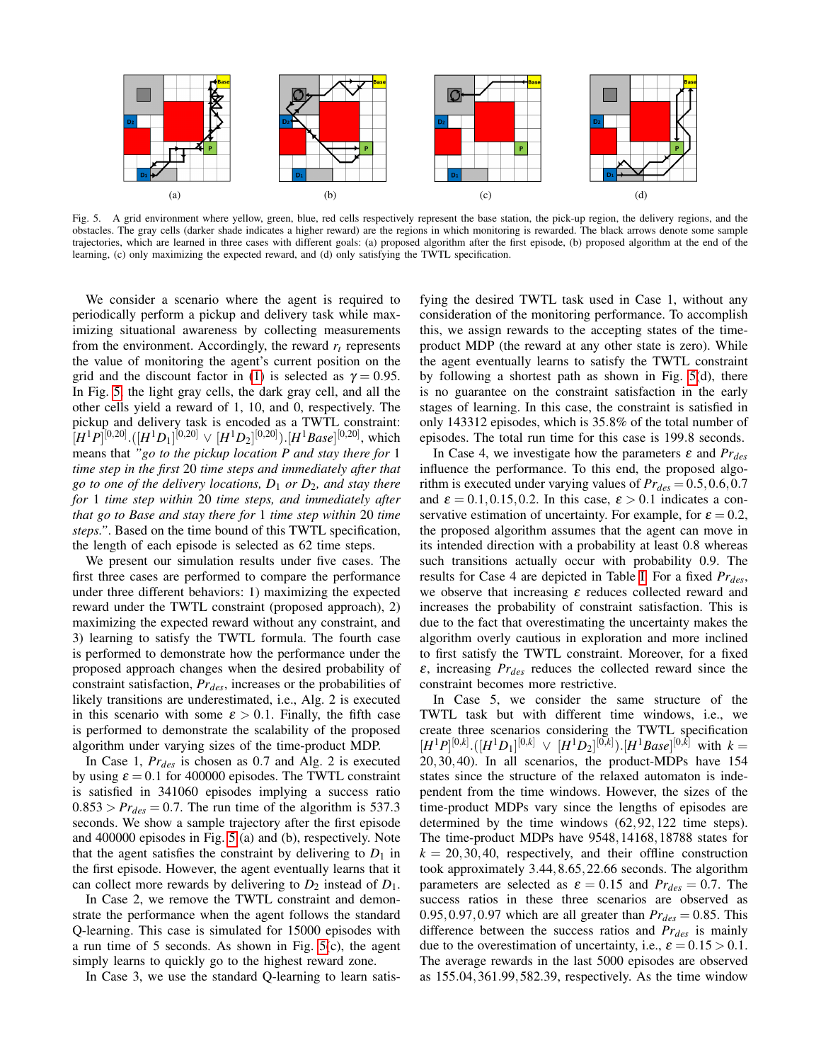

<span id="page-6-0"></span>Fig. 5. A grid environment where yellow, green, blue, red cells respectively represent the base station, the pick-up region, the delivery regions, and the obstacles. The gray cells (darker shade indicates a higher reward) are the regions in which monitoring is rewarded. The black arrows denote some sample trajectories, which are learned in three cases with different goals: (a) proposed algorithm after the first episode, (b) proposed algorithm at the end of the learning, (c) only maximizing the expected reward, and (d) only satisfying the TWTL specification.

We consider a scenario where the agent is required to periodically perform a pickup and delivery task while maximizing situational awareness by collecting measurements from the environment. Accordingly, the reward  $r<sub>t</sub>$  represents the value of monitoring the agent's current position on the grid and the discount factor in [\(1\)](#page-2-4) is selected as  $\gamma = 0.95$ . In Fig. [5,](#page-6-0) the light gray cells, the dark gray cell, and all the other cells yield a reward of 1, 10, and 0, respectively. The pickup and delivery task is encoded as a TWTL constraint:  $[H^1P]^{[0,20]}$ .( $[H^1D_1]^{[0,20]} \vee [H^1D_2]^{[0,20]}$ ).[ $H^1Base]^{[0,20]}$ , which means that *"go to the pickup location P and stay there for* 1 *time step in the first* 20 *time steps and immediately after that go to one of the delivery locations, D*<sup>1</sup> *or D*2*, and stay there for* 1 *time step within* 20 *time steps, and immediately after that go to Base and stay there for* 1 *time step within* 20 *time steps."*. Based on the time bound of this TWTL specification, the length of each episode is selected as 62 time steps.

We present our simulation results under five cases. The first three cases are performed to compare the performance under three different behaviors: 1) maximizing the expected reward under the TWTL constraint (proposed approach), 2) maximizing the expected reward without any constraint, and 3) learning to satisfy the TWTL formula. The fourth case is performed to demonstrate how the performance under the proposed approach changes when the desired probability of constraint satisfaction, *Prdes*, increases or the probabilities of likely transitions are underestimated, i.e., Alg. 2 is executed in this scenario with some  $\varepsilon > 0.1$ . Finally, the fifth case is performed to demonstrate the scalability of the proposed algorithm under varying sizes of the time-product MDP.

In Case 1, *Prdes* is chosen as 0.7 and Alg. 2 is executed by using  $\varepsilon = 0.1$  for 400000 episodes. The TWTL constraint is satisfied in 341060 episodes implying a success ratio  $0.853 > Pr<sub>des</sub> = 0.7$ . The run time of the algorithm is 537.3 seconds. We show a sample trajectory after the first episode and 400000 episodes in Fig. [5](#page-6-0) (a) and (b), respectively. Note that the agent satisfies the constraint by delivering to  $D_1$  in the first episode. However, the agent eventually learns that it can collect more rewards by delivering to  $D_2$  instead of  $D_1$ .

In Case 2, we remove the TWTL constraint and demonstrate the performance when the agent follows the standard Q-learning. This case is simulated for 15000 episodes with a run time of 5 seconds. As shown in Fig. [5\(](#page-6-0)c), the agent simply learns to quickly go to the highest reward zone.

In Case 3, we use the standard Q-learning to learn satis-

fying the desired TWTL task used in Case 1, without any consideration of the monitoring performance. To accomplish this, we assign rewards to the accepting states of the timeproduct MDP (the reward at any other state is zero). While the agent eventually learns to satisfy the TWTL constraint by following a shortest path as shown in Fig. [5\(](#page-6-0)d), there is no guarantee on the constraint satisfaction in the early stages of learning. In this case, the constraint is satisfied in only 143312 episodes, which is 35.8% of the total number of episodes. The total run time for this case is 199.8 seconds.

In Case 4, we investigate how the parameters  $\varepsilon$  and  $Pr_{des}$ influence the performance. To this end, the proposed algorithm is executed under varying values of  $Pr_{des} = 0.5, 0.6, 0.7$ and  $\varepsilon = 0.1, 0.15, 0.2$ . In this case,  $\varepsilon > 0.1$  indicates a conservative estimation of uncertainty. For example, for  $\varepsilon = 0.2$ , the proposed algorithm assumes that the agent can move in its intended direction with a probability at least 0.8 whereas such transitions actually occur with probability 0.9. The results for Case 4 are depicted in Table [I.](#page-7-0) For a fixed *Prdes*, we observe that increasing  $\varepsilon$  reduces collected reward and increases the probability of constraint satisfaction. This is due to the fact that overestimating the uncertainty makes the algorithm overly cautious in exploration and more inclined to first satisfy the TWTL constraint. Moreover, for a fixed ε, increasing *Prdes* reduces the collected reward since the constraint becomes more restrictive.

In Case 5, we consider the same structure of the TWTL task but with different time windows, i.e., we create three scenarios considering the TWTL specification  $[H^1P]^{[0,k]} \cdot ([H^1D_1]^{[0,k]} \ \vee \ [H^1D_2]^{[0,k]} ) \cdot [H^1Base]^{[0,k]}$  with  $k=$ 20,30,40). In all scenarios, the product-MDPs have 154 states since the structure of the relaxed automaton is independent from the time windows. However, the sizes of the time-product MDPs vary since the lengths of episodes are determined by the time windows (62,92,122 time steps). The time-product MDPs have 9548,14168,18788 states for  $k = 20,30,40$ , respectively, and their offline construction took approximately 3.44,8.65,22.66 seconds. The algorithm parameters are selected as  $\varepsilon = 0.15$  and  $Pr_{des} = 0.7$ . The success ratios in these three scenarios are observed as 0.95,0.97,0.97 which are all greater than  $Pr_{des} = 0.85$ . This difference between the success ratios and *Prdes* is mainly due to the overestimation of uncertainty, i.e.,  $\varepsilon = 0.15 > 0.1$ . The average rewards in the last 5000 episodes are observed as 155.04,361.99,582.39, respectively. As the time window